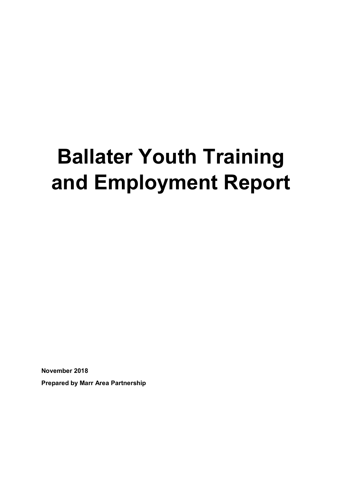# **Ballater Youth Training and Employment Report**

**November 2018**

**Prepared by Marr Area Partnership**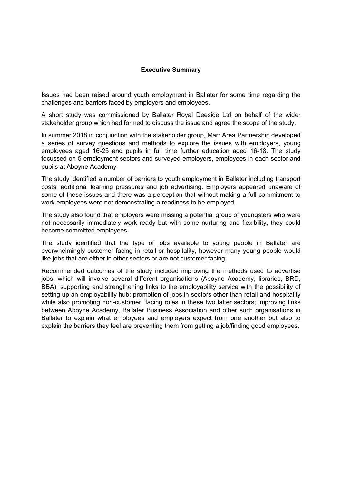#### **Executive Summary**

Issues had been raised around youth employment in Ballater for some time regarding the challenges and barriers faced by employers and employees.

A short study was commissioned by Ballater Royal Deeside Ltd on behalf of the wider stakeholder group which had formed to discuss the issue and agree the scope of the study.

In summer 2018 in conjunction with the stakeholder group, Marr Area Partnership developed a series of survey questions and methods to explore the issues with employers, young employees aged 16-25 and pupils in full time further education aged 16-18. The study focussed on 5 employment sectors and surveyed employers, employees in each sector and pupils at Aboyne Academy.

The study identified a number of barriers to youth employment in Ballater including transport costs, additional learning pressures and job advertising. Employers appeared unaware of some of these issues and there was a perception that without making a full commitment to work employees were not demonstrating a readiness to be employed.

The study also found that employers were missing a potential group of youngsters who were not necessarily immediately work ready but with some nurturing and flexibility, they could become committed employees.

The study identified that the type of jobs available to young people in Ballater are overwhelmingly customer facing in retail or hospitality, however many young people would like jobs that are either in other sectors or are not customer facing.

Recommended outcomes of the study included improving the methods used to advertise jobs, which will involve several different organisations (Aboyne Academy, libraries, BRD, BBA); supporting and strengthening links to the employability service with the possibility of setting up an employability hub; promotion of jobs in sectors other than retail and hospitality while also promoting non-customer facing roles in these two latter sectors; improving links between Aboyne Academy, Ballater Business Association and other such organisations in Ballater to explain what employees and employers expect from one another but also to explain the barriers they feel are preventing them from getting a job/finding good employees.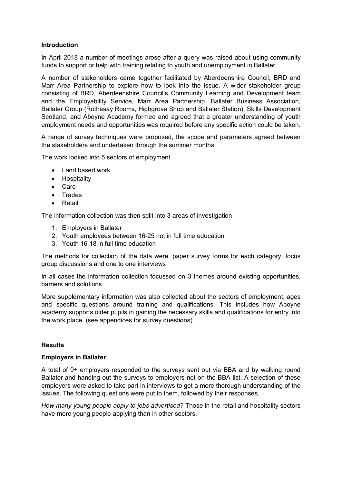#### **Introduction**

In April 2018 a number of meetings arose after a query was raised about using community funds to support or help with training relating to youth and unemployment in Ballater.

A number of stakeholders came together facilitated by Aberdeenshire Council, BRD and Marr Area Partnership to explore how to look into the issue. A wider stakeholder group consisting of BRD, Aberdeenshire Council's Community Learning and Development team and the Employability Service, Marr Area Partnership, Ballater Business Association, Ballater Group (Rothesay Rooms, Highgrove Shop and Ballater Station), Skills Development Scotland, and Aboyne Academy formed and agreed that a greater understanding of youth employment needs and opportunities was required before any specific action could be taken.

A range of survey techniques were proposed, the scope and parameters agreed between the stakeholders and undertaken through the summer months.

The work looked into 5 sectors of employment

- Land based work
- Hospitality
- Care
- Trades
- Retail

The information collection was then split into 3 areas of investigation

- 1. Employers in Ballater
- 2. Youth employees between 16-25 not in full time education
- 3. Youth 16-18 in full time education

The methods for collection of the data were, paper survey forms for each category, focus group discussions and one to one interviews

In all cases the information collection focussed on 3 themes around existing opportunities, barriers and solutions.

More supplementary information was also collected about the sectors of employment, ages and specific questions around training and qualifications. This includes how Aboyne academy supports older pupils in gaining the necessary skills and qualifications for entry into the work place. (see appendices for survey questions)

#### **Results**

#### **Employers in Ballater**

A total of 9+ employers responded to the surveys sent out via BBA and by walking round Ballater and handing out the surveys to employers not on the BBA list. A selection of these employers were asked to take part in interviews to get a more thorough understanding of the issues. The following questions were put to them, followed by their responses.

*How many young people apply to jobs advertised?* Those in the retail and hospitality sectors have more young people applying than in other sectors.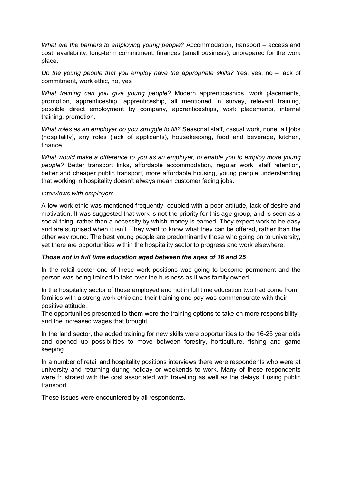*What are the barriers to employing young people?* Accommodation, transport – access and cost, availability, long-term commitment, finances (small business), unprepared for the work place.

*Do the young people that you employ have the appropriate skills?* Yes, yes, no – lack of commitment, work ethic, no, yes

*What training can you give young people?* Modern apprenticeships, work placements, promotion, apprenticeship, apprenticeship, all mentioned in survey, relevant training, possible direct employment by company, apprenticeships, work placements, internal training, promotion.

*What roles as an employer do you struggle to fill?* Seasonal staff, casual work, none, all jobs (hospitality), any roles (lack of applicants), housekeeping, food and beverage, kitchen, finance

*What would make a difference to you as an employer, to enable you to employ more young people?* Better transport links, affordable accommodation, regular work, staff retention, better and cheaper public transport, more affordable housing, young people understanding that working in hospitality doesn't always mean customer facing jobs.

#### *Interviews with employers*

A low work ethic was mentioned frequently, coupled with a poor attitude, lack of desire and motivation. It was suggested that work is not the priority for this age group, and is seen as a social thing, rather than a necessity by which money is earned. They expect work to be easy and are surprised when it isn't. They want to know what they can be offered, rather than the other way round. The best young people are predominantly those who going on to university, yet there are opportunities within the hospitality sector to progress and work elsewhere.

#### *Those not in full time education aged between the ages of 16 and 25*

In the retail sector one of these work positions was going to become permanent and the person was being trained to take over the business as it was family owned.

In the hospitality sector of those employed and not in full time education two had come from families with a strong work ethic and their training and pay was commensurate with their positive attitude.

The opportunities presented to them were the training options to take on more responsibility and the increased wages that brought.

In the land sector, the added training for new skills were opportunities to the 16-25 year olds and opened up possibilities to move between forestry, horticulture, fishing and game keeping.

In a number of retail and hospitality positions interviews there were respondents who were at university and returning during holiday or weekends to work. Many of these respondents were frustrated with the cost associated with travelling as well as the delays if using public transport.

These issues were encountered by all respondents.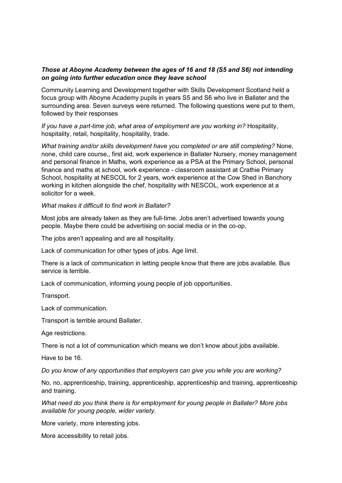#### *Those at Aboyne Academy between the ages of 16 and 18 (S5 and S6) not intending on going into further education once they leave school*

Community Learning and Development together with Skills Development Scotland held a focus group with Aboyne Academy pupils in years S5 and S6 who live in Ballater and the surrounding area. Seven surveys were returned. The following questions were put to them, followed by their responses

*If you have a part-time job, what area of employment are you working in?* Hospitality, hospitality, retail, hospitality, hospitality, trade.

*What training and/or skills development have you completed or are still completing?* None, none, child care course,, first aid, work experience in Ballater Nursery, money management and personal finance in Maths, work experience as a PSA at the Primary School, personal finance and maths at school, work experience - classroom assistant at Crathie Primary School, hospitality at NESCOL for 2 years, work experience at the Cow Shed in Banchory working in kitchen alongside the chef, hospitality with NESCOL, work experience at a solicitor for a week.

*What makes it difficult to find work in Ballater?*

Most jobs are already taken as they are full-time. Jobs aren't advertised towards young people. Maybe there could be advertising on social media or in the co-op.

The jobs aren't appealing and are all hospitality.

Lack of communication for other types of jobs. Age limit.

There is a lack of communication in letting people know that there are jobs available. Bus service is terrible.

Lack of communication, informing young people of job opportunities.

Transport.

Lack of communication.

Transport is terrible around Ballater.

Age restrictions.

There is not a lot of communication which means we don't know about jobs available.

Have to be 16.

*Do you know of any opportunities that employers can give you while you are working?*

No, no, apprenticeship, training, apprenticeship, apprenticeship and training, apprenticeship and training.

*What need do you think there is for employment for young people in Ballater? More jobs available for young people, wider variety.* 

More variety, more interesting jobs.

More accessibility to retail jobs.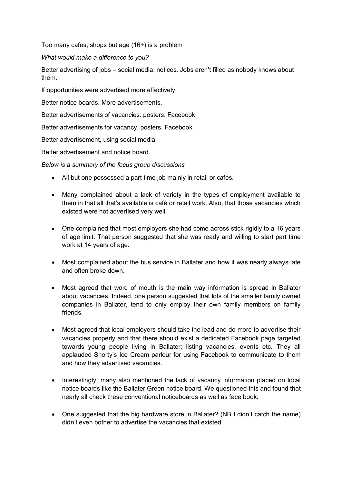Too many cafes, shops but age (16+) is a problem

*What would make a difference to you?*

Better advertising of jobs – social media, notices. Jobs aren't filled as nobody knows about them.

If opportunities were advertised more effectively.

Better notice boards. More advertisements.

Better advertisements of vacancies: posters, Facebook

Better advertisements for vacancy, posters, Facebook

Better advertisement, using social media

Better advertisement and notice board.

*Below is a summary of the focus group discussions*

- All but one possessed a part time job mainly in retail or cafes.
- Many complained about a lack of variety in the types of employment available to them in that all that's available is café or retail work. Also, that those vacancies which existed were not advertised very well.
- One complained that most employers she had come across stick rigidly to a 16 years of age limit. That person suggested that she was ready and willing to start part time work at 14 years of age.
- Most complained about the bus service in Ballater and how it was nearly always late and often broke down.
- Most agreed that word of mouth is the main way information is spread in Ballater about vacancies. Indeed, one person suggested that lots of the smaller family owned companies in Ballater, tend to only employ their own family members on family friends.
- Most agreed that local employers should take the lead and do more to advertise their vacancies properly and that there should exist a dedicated Facebook page targeted towards young people living in Ballater; listing vacancies, events etc. They all applauded Shorty's Ice Cream parlour for using Facebook to communicate to them and how they advertised vacancies.
- Interestingly, many also mentioned the lack of vacancy information placed on local notice boards like the Ballater Green notice board. We questioned this and found that nearly all check these conventional noticeboards as well as face book.
- One suggested that the big hardware store in Ballater? (NB I didn't catch the name) didn't even bother to advertise the vacancies that existed.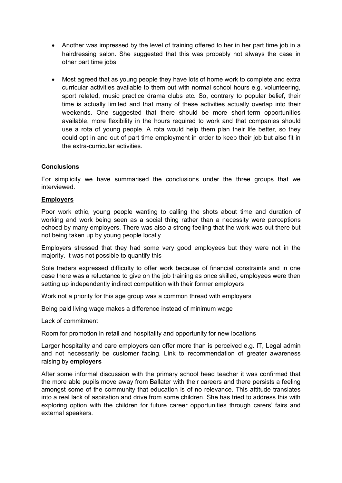- Another was impressed by the level of training offered to her in her part time job in a hairdressing salon. She suggested that this was probably not always the case in other part time jobs.
- Most agreed that as young people they have lots of home work to complete and extra curricular activities available to them out with normal school hours e.g. volunteering, sport related, music practice drama clubs etc. So, contrary to popular belief, their time is actually limited and that many of these activities actually overlap into their weekends. One suggested that there should be more short-term opportunities available, more flexibility in the hours required to work and that companies should use a rota of young people. A rota would help them plan their life better, so they could opt in and out of part time employment in order to keep their job but also fit in the extra-curricular activities.

#### **Conclusions**

For simplicity we have summarised the conclusions under the three groups that we interviewed.

#### **Employers**

Poor work ethic, young people wanting to calling the shots about time and duration of working and work being seen as a social thing rather than a necessity were perceptions echoed by many employers. There was also a strong feeling that the work was out there but not being taken up by young people locally.

Employers stressed that they had some very good employees but they were not in the majority. It was not possible to quantify this

Sole traders expressed difficulty to offer work because of financial constraints and in one case there was a reluctance to give on the job training as once skilled, employees were then setting up independently indirect competition with their former employers

Work not a priority for this age group was a common thread with employers

Being paid living wage makes a difference instead of minimum wage

Lack of commitment

Room for promotion in retail and hospitality and opportunity for new locations

Larger hospitality and care employers can offer more than is perceived e.g. IT, Legal admin and not necessarily be customer facing. Link to recommendation of greater awareness raising by **employers**

After some informal discussion with the primary school head teacher it was confirmed that the more able pupils move away from Ballater with their careers and there persists a feeling amongst some of the community that education is of no relevance. This attitude translates into a real lack of aspiration and drive from some children. She has tried to address this with exploring option with the children for future career opportunities through carers' fairs and external speakers.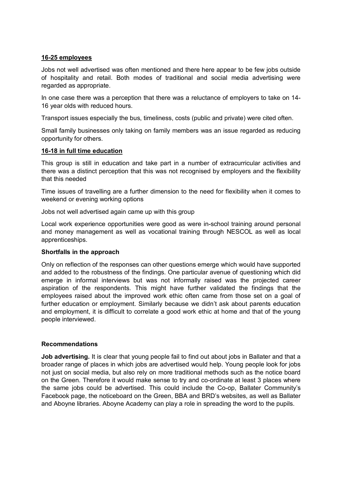#### **16-25 employees**

Jobs not well advertised was often mentioned and there here appear to be few jobs outside of hospitality and retail. Both modes of traditional and social media advertising were regarded as appropriate.

In one case there was a perception that there was a reluctance of employers to take on 14- 16 year olds with reduced hours.

Transport issues especially the bus, timeliness, costs (public and private) were cited often.

Small family businesses only taking on family members was an issue regarded as reducing opportunity for others.

#### **16-18 in full time education**

This group is still in education and take part in a number of extracurricular activities and there was a distinct perception that this was not recognised by employers and the flexibility that this needed

Time issues of travelling are a further dimension to the need for flexibility when it comes to weekend or evening working options

Jobs not well advertised again came up with this group

Local work experience opportunities were good as were in-school training around personal and money management as well as vocational training through NESCOL as well as local apprenticeships.

#### **Shortfalls in the approach**

Only on reflection of the responses can other questions emerge which would have supported and added to the robustness of the findings. One particular avenue of questioning which did emerge in informal interviews but was not informally raised was the projected career aspiration of the respondents. This might have further validated the findings that the employees raised about the improved work ethic often came from those set on a goal of further education or employment. Similarly because we didn't ask about parents education and employment, it is difficult to correlate a good work ethic at home and that of the young people interviewed.

#### **Recommendations**

**Job advertising.** It is clear that young people fail to find out about jobs in Ballater and that a broader range of places in which jobs are advertised would help. Young people look for jobs not just on social media, but also rely on more traditional methods such as the notice board on the Green. Therefore it would make sense to try and co-ordinate at least 3 places where the same jobs could be advertised. This could include the Co-op, Ballater Community's Facebook page, the noticeboard on the Green, BBA and BRD's websites, as well as Ballater and Aboyne libraries. Aboyne Academy can play a role in spreading the word to the pupils.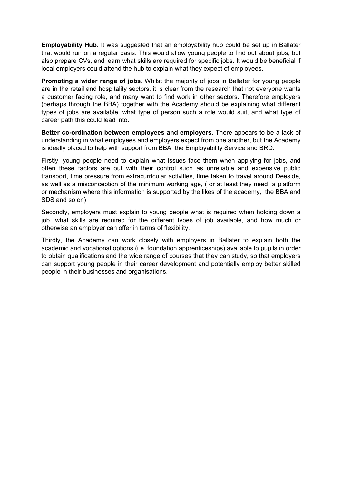**Employability Hub**. It was suggested that an employability hub could be set up in Ballater that would run on a regular basis. This would allow young people to find out about jobs, but also prepare CVs, and learn what skills are required for specific jobs. It would be beneficial if local employers could attend the hub to explain what they expect of employees.

**Promoting a wider range of jobs**. Whilst the majority of jobs in Ballater for young people are in the retail and hospitality sectors, it is clear from the research that not everyone wants a customer facing role, and many want to find work in other sectors. Therefore employers (perhaps through the BBA) together with the Academy should be explaining what different types of jobs are available, what type of person such a role would suit, and what type of career path this could lead into.

**Better co-ordination between employees and employers**. There appears to be a lack of understanding in what employees and employers expect from one another, but the Academy is ideally placed to help with support from BBA, the Employability Service and BRD.

Firstly, young people need to explain what issues face them when applying for jobs, and often these factors are out with their control such as unreliable and expensive public transport, time pressure from extracurricular activities, time taken to travel around Deeside, as well as a misconception of the minimum working age, ( or at least they need a platform or mechanism where this information is supported by the likes of the academy, the BBA and SDS and so on)

Secondly, employers must explain to young people what is required when holding down a job, what skills are required for the different types of job available, and how much or otherwise an employer can offer in terms of flexibility.

Thirdly, the Academy can work closely with employers in Ballater to explain both the academic and vocational options (i.e. foundation apprenticeships) available to pupils in order to obtain qualifications and the wide range of courses that they can study, so that employers can support young people in their career development and potentially employ better skilled people in their businesses and organisations.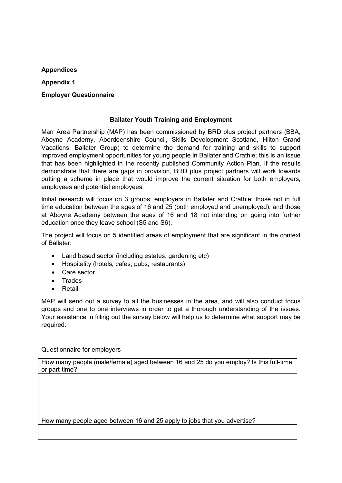#### **Appendices**

**Appendix 1** 

#### **Employer Questionnaire**

#### **Ballater Youth Training and Employment**

Marr Area Partnership (MAP) has been commissioned by BRD plus project partners (BBA, Aboyne Academy, Aberdeenshire Council, Skills Development Scotland, Hilton Grand Vacations, Ballater Group) to determine the demand for training and skills to support improved employment opportunities for young people in Ballater and Crathie; this is an issue that has been highlighted in the recently published Community Action Plan. If the results demonstrate that there are gaps in provision, BRD plus project partners will work towards putting a scheme in place that would improve the current situation for both employers, employees and potential employees.

Initial research will focus on 3 groups: employers in Ballater and Crathie; those not in full time education between the ages of 16 and 25 (both employed and unemployed); and those at Aboyne Academy between the ages of 16 and 18 not intending on going into further education once they leave school (S5 and S6).

The project will focus on 5 identified areas of employment that are significant in the context of Ballater:

- Land based sector (including estates, gardening etc)
- Hospitality (hotels, cafes, pubs, restaurants)
- Care sector
- Trades
- Retail

MAP will send out a survey to all the businesses in the area, and will also conduct focus groups and one to one interviews in order to get a thorough understanding of the issues. Your assistance in filling out the survey below will help us to determine what support may be required.

#### Questionnaire for employers

How many people (male/female) aged between 16 and 25 do you employ? Is this full-time or part-time?

How many people aged between 16 and 25 apply to jobs that you advertise?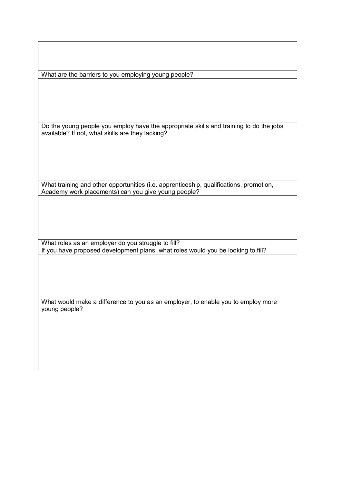What are the barriers to you employing young people?

Do the young people you employ have the appropriate skills and training to do the jobs available? If not, what skills are they lacking?

What training and other opportunities (i.e. apprenticeship, qualifications, promotion, Academy work placements) can you give young people?

What roles as an employer do you struggle to fill? If you have proposed development plans, what roles would you be looking to fill?

What would make a difference to you as an employer, to enable you to employ more young people?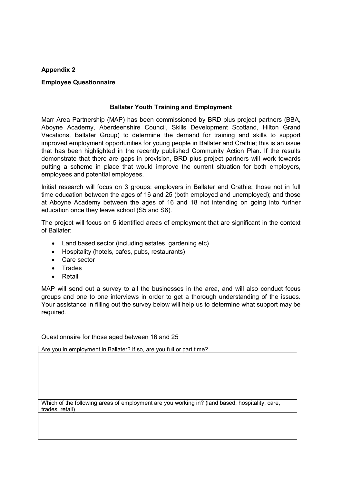#### **Appendix 2**

#### **Employee Questionnaire**

#### **Ballater Youth Training and Employment**

Marr Area Partnership (MAP) has been commissioned by BRD plus project partners (BBA, Aboyne Academy, Aberdeenshire Council, Skills Development Scotland, Hilton Grand Vacations, Ballater Group) to determine the demand for training and skills to support improved employment opportunities for young people in Ballater and Crathie; this is an issue that has been highlighted in the recently published Community Action Plan. If the results demonstrate that there are gaps in provision, BRD plus project partners will work towards putting a scheme in place that would improve the current situation for both employers, employees and potential employees.

Initial research will focus on 3 groups: employers in Ballater and Crathie; those not in full time education between the ages of 16 and 25 (both employed and unemployed); and those at Aboyne Academy between the ages of 16 and 18 not intending on going into further education once they leave school (S5 and S6).

The project will focus on 5 identified areas of employment that are significant in the context of Ballater:

- Land based sector (including estates, gardening etc)
- Hospitality (hotels, cafes, pubs, restaurants)
- Care sector
- Trades
- Retail

MAP will send out a survey to all the businesses in the area, and will also conduct focus groups and one to one interviews in order to get a thorough understanding of the issues. Your assistance in filling out the survey below will help us to determine what support may be required.

Questionnaire for those aged between 16 and 25

Are you in employment in Ballater? If so, are you full or part time?

Which of the following areas of employment are you working in? (land based, hospitality, care, trades, retail)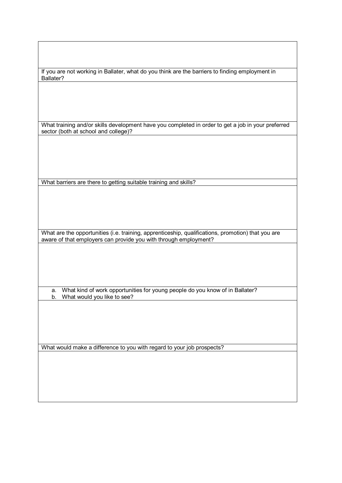If you are not working in Ballater, what do you think are the barriers to finding employment in Ballater?

What training and/or skills development have you completed in order to get a job in your preferred sector (both at school and college)?

What barriers are there to getting suitable training and skills?

What are the opportunities (i.e. training, apprenticeship, qualifications, promotion) that you are aware of that employers can provide you with through employment?

a. What kind of work opportunities for young people do you know of in Ballater? b. What would you like to see?

What would make a difference to you with regard to your job prospects?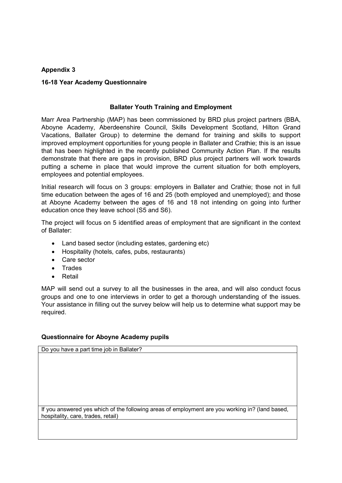#### **Appendix 3**

#### **16-18 Year Academy Questionnaire**

#### **Ballater Youth Training and Employment**

Marr Area Partnership (MAP) has been commissioned by BRD plus project partners (BBA, Aboyne Academy, Aberdeenshire Council, Skills Development Scotland, Hilton Grand Vacations, Ballater Group) to determine the demand for training and skills to support improved employment opportunities for young people in Ballater and Crathie; this is an issue that has been highlighted in the recently published Community Action Plan. If the results demonstrate that there are gaps in provision, BRD plus project partners will work towards putting a scheme in place that would improve the current situation for both employers, employees and potential employees.

Initial research will focus on 3 groups: employers in Ballater and Crathie; those not in full time education between the ages of 16 and 25 (both employed and unemployed); and those at Aboyne Academy between the ages of 16 and 18 not intending on going into further education once they leave school (S5 and S6).

The project will focus on 5 identified areas of employment that are significant in the context of Ballater:

- Land based sector (including estates, gardening etc)
- Hospitality (hotels, cafes, pubs, restaurants)
- Care sector
- Trades
- Retail

MAP will send out a survey to all the businesses in the area, and will also conduct focus groups and one to one interviews in order to get a thorough understanding of the issues. Your assistance in filling out the survey below will help us to determine what support may be required.

#### **Questionnaire for Aboyne Academy pupils**

Do you have a part time job in Ballater? If you answered yes which of the following areas of employment are you working in? (land based, hospitality, care, trades, retail)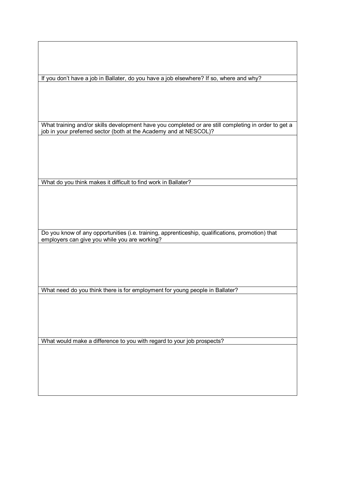If you don't have a job in Ballater, do you have a job elsewhere? If so, where and why?

What training and/or skills development have you completed or are still completing in order to get a job in your preferred sector (both at the Academy and at NESCOL)?

What do you think makes it difficult to find work in Ballater?

Do you know of any opportunities (i.e. training, apprenticeship, qualifications, promotion) that employers can give you while you are working?

What need do you think there is for employment for young people in Ballater?

What would make a difference to you with regard to your job prospects?